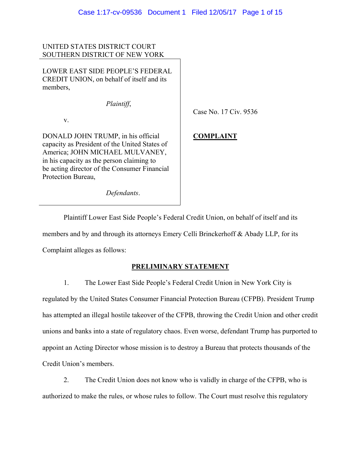# UNITED STATES DISTRICT COURT SOUTHERN DISTRICT OF NEW YORK

LOWER EAST SIDE PEOPLE'S FEDERAL CREDIT UNION, on behalf of itself and its members,

 *Plaintiff*,

v.

DONALD JOHN TRUMP, in his official capacity as President of the United States of America; JOHN MICHAEL MULVANEY, in his capacity as the person claiming to be acting director of the Consumer Financial Protection Bureau,

 *Defendants*.

Case No. 17 Civ. 9536

# **COMPLAINT**

 Plaintiff Lower East Side People's Federal Credit Union, on behalf of itself and its members and by and through its attorneys Emery Celli Brinckerhoff & Abady LLP, for its Complaint alleges as follows:

# **PRELIMINARY STATEMENT**

1. The Lower East Side People's Federal Credit Union in New York City is regulated by the United States Consumer Financial Protection Bureau (CFPB). President Trump has attempted an illegal hostile takeover of the CFPB, throwing the Credit Union and other credit unions and banks into a state of regulatory chaos. Even worse, defendant Trump has purported to appoint an Acting Director whose mission is to destroy a Bureau that protects thousands of the Credit Union's members.

2. The Credit Union does not know who is validly in charge of the CFPB, who is authorized to make the rules, or whose rules to follow. The Court must resolve this regulatory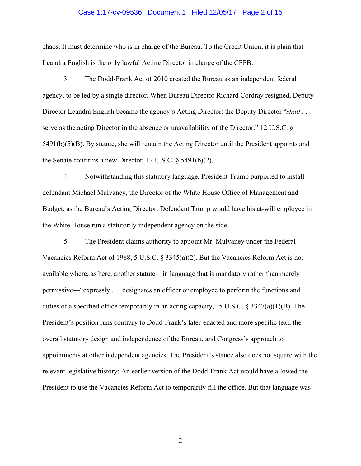#### Case 1:17-cv-09536 Document 1 Filed 12/05/17 Page 2 of 15

chaos. It must determine who is in charge of the Bureau. To the Credit Union, it is plain that Leandra English is the only lawful Acting Director in charge of the CFPB.

3. The Dodd-Frank Act of 2010 created the Bureau as an independent federal agency, to be led by a single director. When Bureau Director Richard Cordray resigned, Deputy Director Leandra English became the agency's Acting Director: the Deputy Director "*shall* . . . serve as the acting Director in the absence or unavailability of the Director." 12 U.S.C. § 5491(b)(5)(B). By statute, she will remain the Acting Director until the President appoints and the Senate confirms a new Director. 12 U.S.C. § 5491(b)(2).

4. Notwithstanding this statutory language, President Trump purported to install defendant Michael Mulvaney, the Director of the White House Office of Management and Budget, as the Bureau's Acting Director. Defendant Trump would have his at-will employee in the White House run a statutorily independent agency on the side.

5. The President claims authority to appoint Mr. Mulvaney under the Federal Vacancies Reform Act of 1988, 5 U.S.C. § 3345(a)(2). But the Vacancies Reform Act is not available where, as here, another statute—in language that is mandatory rather than merely permissive—"expressly . . . designates an officer or employee to perform the functions and duties of a specified office temporarily in an acting capacity," 5 U.S.C. § 3347(a)(1)(B). The President's position runs contrary to Dodd-Frank's later-enacted and more specific text, the overall statutory design and independence of the Bureau, and Congress's approach to appointments at other independent agencies. The President's stance also does not square with the relevant legislative history: An earlier version of the Dodd-Frank Act would have allowed the President to use the Vacancies Reform Act to temporarily fill the office. But that language was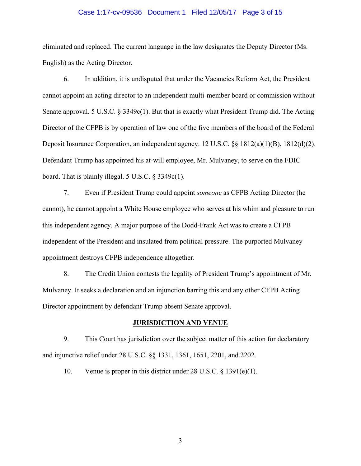#### Case 1:17-cv-09536 Document 1 Filed 12/05/17 Page 3 of 15

eliminated and replaced. The current language in the law designates the Deputy Director (Ms. English) as the Acting Director.

6. In addition, it is undisputed that under the Vacancies Reform Act, the President cannot appoint an acting director to an independent multi-member board or commission without Senate approval. 5 U.S.C.  $\S 3349c(1)$ . But that is exactly what President Trump did. The Acting Director of the CFPB is by operation of law one of the five members of the board of the Federal Deposit Insurance Corporation, an independent agency. 12 U.S.C. §§ 1812(a)(1)(B), 1812(d)(2). Defendant Trump has appointed his at-will employee, Mr. Mulvaney, to serve on the FDIC board. That is plainly illegal. 5 U.S.C. § 3349c(1).

7. Even if President Trump could appoint *someone* as CFPB Acting Director (he cannot), he cannot appoint a White House employee who serves at his whim and pleasure to run this independent agency. A major purpose of the Dodd-Frank Act was to create a CFPB independent of the President and insulated from political pressure. The purported Mulvaney appointment destroys CFPB independence altogether.

8. The Credit Union contests the legality of President Trump's appointment of Mr. Mulvaney. It seeks a declaration and an injunction barring this and any other CFPB Acting Director appointment by defendant Trump absent Senate approval.

# **JURISDICTION AND VENUE**

9. This Court has jurisdiction over the subject matter of this action for declaratory and injunctive relief under 28 U.S.C. §§ 1331, 1361, 1651, 2201, and 2202.

10. Venue is proper in this district under 28 U.S.C. § 1391(e)(1).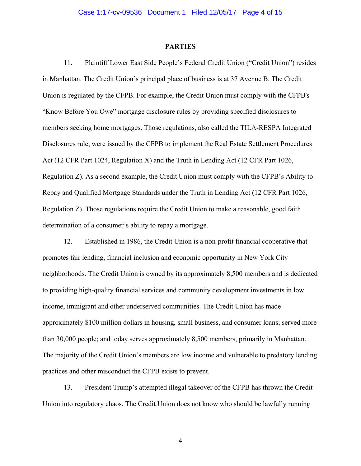### **PARTIES**

11. Plaintiff Lower East Side People's Federal Credit Union ("Credit Union") resides in Manhattan. The Credit Union's principal place of business is at 37 Avenue B. The Credit Union is regulated by the CFPB. For example, the Credit Union must comply with the CFPB's "Know Before You Owe" mortgage disclosure rules by providing specified disclosures to members seeking home mortgages. Those regulations, also called the TILA-RESPA Integrated Disclosures rule, were issued by the CFPB to implement the Real Estate Settlement Procedures Act (12 CFR Part 1024, Regulation X) and the Truth in Lending Act (12 CFR Part 1026, Regulation Z). As a second example, the Credit Union must comply with the CFPB's Ability to Repay and Qualified Mortgage Standards under the Truth in Lending Act (12 CFR Part 1026, Regulation Z). Those regulations require the Credit Union to make a reasonable, good faith determination of a consumer's ability to repay a mortgage.

12. Established in 1986, the Credit Union is a non-profit financial cooperative that promotes fair lending, financial inclusion and economic opportunity in New York City neighborhoods. The Credit Union is owned by its approximately 8,500 members and is dedicated to providing high-quality financial services and community development investments in low income, immigrant and other underserved communities. The Credit Union has made approximately \$100 million dollars in housing, small business, and consumer loans; served more than 30,000 people; and today serves approximately 8,500 members, primarily in Manhattan. The majority of the Credit Union's members are low income and vulnerable to predatory lending practices and other misconduct the CFPB exists to prevent.

13. President Trump's attempted illegal takeover of the CFPB has thrown the Credit Union into regulatory chaos. The Credit Union does not know who should be lawfully running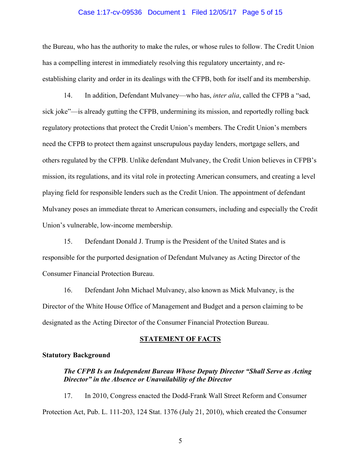## Case 1:17-cv-09536 Document 1 Filed 12/05/17 Page 5 of 15

the Bureau, who has the authority to make the rules, or whose rules to follow. The Credit Union has a compelling interest in immediately resolving this regulatory uncertainty, and reestablishing clarity and order in its dealings with the CFPB, both for itself and its membership.

14. In addition, Defendant Mulvaney—who has, *inter alia*, called the CFPB a "sad, sick joke"—is already gutting the CFPB, undermining its mission, and reportedly rolling back regulatory protections that protect the Credit Union's members. The Credit Union's members need the CFPB to protect them against unscrupulous payday lenders, mortgage sellers, and others regulated by the CFPB. Unlike defendant Mulvaney, the Credit Union believes in CFPB's mission, its regulations, and its vital role in protecting American consumers, and creating a level playing field for responsible lenders such as the Credit Union. The appointment of defendant Mulvaney poses an immediate threat to American consumers, including and especially the Credit Union's vulnerable, low-income membership.

15. Defendant Donald J. Trump is the President of the United States and is responsible for the purported designation of Defendant Mulvaney as Acting Director of the Consumer Financial Protection Bureau.

16. Defendant John Michael Mulvaney, also known as Mick Mulvaney, is the Director of the White House Office of Management and Budget and a person claiming to be designated as the Acting Director of the Consumer Financial Protection Bureau.

#### **STATEMENT OF FACTS**

## **Statutory Background**

# *The CFPB Is an Independent Bureau Whose Deputy Director "Shall Serve as Acting Director" in the Absence or Unavailability of the Director*

17. In 2010, Congress enacted the Dodd-Frank Wall Street Reform and Consumer Protection Act, Pub. L. 111-203, 124 Stat. 1376 (July 21, 2010), which created the Consumer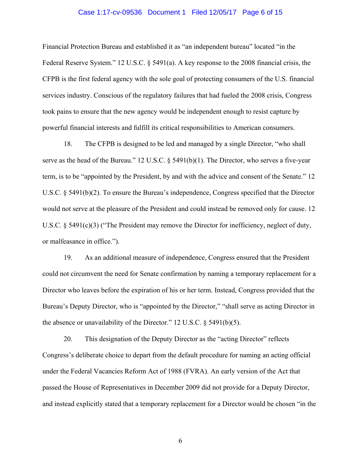### Case 1:17-cv-09536 Document 1 Filed 12/05/17 Page 6 of 15

Financial Protection Bureau and established it as "an independent bureau" located "in the Federal Reserve System." 12 U.S.C. § 5491(a). A key response to the 2008 financial crisis, the CFPB is the first federal agency with the sole goal of protecting consumers of the U.S. financial services industry. Conscious of the regulatory failures that had fueled the 2008 crisis, Congress took pains to ensure that the new agency would be independent enough to resist capture by powerful financial interests and fulfill its critical responsibilities to American consumers.

18. The CFPB is designed to be led and managed by a single Director, "who shall serve as the head of the Bureau." 12 U.S.C. § 5491(b)(1). The Director, who serves a five-year term, is to be "appointed by the President, by and with the advice and consent of the Senate." 12 U.S.C. § 5491(b)(2). To ensure the Bureau's independence, Congress specified that the Director would not serve at the pleasure of the President and could instead be removed only for cause. 12 U.S.C. § 5491(c)(3) ("The President may remove the Director for inefficiency, neglect of duty, or malfeasance in office.").

19. As an additional measure of independence, Congress ensured that the President could not circumvent the need for Senate confirmation by naming a temporary replacement for a Director who leaves before the expiration of his or her term. Instead, Congress provided that the Bureau's Deputy Director, who is "appointed by the Director," "shall serve as acting Director in the absence or unavailability of the Director." 12 U.S.C. § 5491(b)(5).

20. This designation of the Deputy Director as the "acting Director" reflects Congress's deliberate choice to depart from the default procedure for naming an acting official under the Federal Vacancies Reform Act of 1988 (FVRA). An early version of the Act that passed the House of Representatives in December 2009 did not provide for a Deputy Director, and instead explicitly stated that a temporary replacement for a Director would be chosen "in the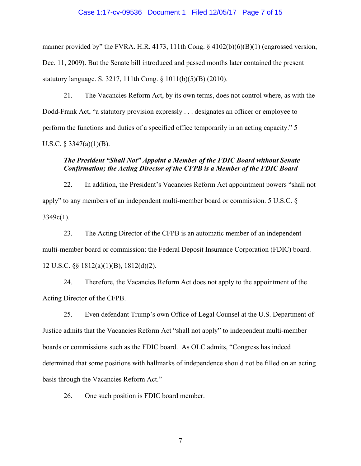## Case 1:17-cv-09536 Document 1 Filed 12/05/17 Page 7 of 15

manner provided by" the FVRA. H.R. 4173, 111th Cong. § 4102(b)(6)(B)(1) (engrossed version, Dec. 11, 2009). But the Senate bill introduced and passed months later contained the present statutory language. S. 3217, 111th Cong. § 1011(b)(5)(B) (2010).

21. The Vacancies Reform Act, by its own terms, does not control where, as with the Dodd-Frank Act, "a statutory provision expressly . . . designates an officer or employee to perform the functions and duties of a specified office temporarily in an acting capacity." 5 U.S.C.  $\S$  3347(a)(1)(B).

# *The President "Shall Not" Appoint a Member of the FDIC Board without Senate Confirmation; the Acting Director of the CFPB is a Member of the FDIC Board*

22. In addition, the President's Vacancies Reform Act appointment powers "shall not apply" to any members of an independent multi-member board or commission. 5 U.S.C. §  $3349c(1)$ .

23. The Acting Director of the CFPB is an automatic member of an independent multi-member board or commission: the Federal Deposit Insurance Corporation (FDIC) board. 12 U.S.C. §§ 1812(a)(1)(B), 1812(d)(2).

24. Therefore, the Vacancies Reform Act does not apply to the appointment of the Acting Director of the CFPB.

25. Even defendant Trump's own Office of Legal Counsel at the U.S. Department of Justice admits that the Vacancies Reform Act "shall not apply" to independent multi-member boards or commissions such as the FDIC board. As OLC admits, "Congress has indeed determined that some positions with hallmarks of independence should not be filled on an acting basis through the Vacancies Reform Act."

26. One such position is FDIC board member.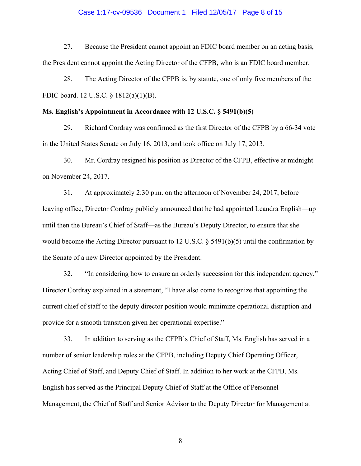### Case 1:17-cv-09536 Document 1 Filed 12/05/17 Page 8 of 15

27. Because the President cannot appoint an FDIC board member on an acting basis, the President cannot appoint the Acting Director of the CFPB, who is an FDIC board member.

28. The Acting Director of the CFPB is, by statute, one of only five members of the FDIC board. 12 U.S.C. § 1812(a)(1)(B).

## **Ms. English's Appointment in Accordance with 12 U.S.C. § 5491(b)(5)**

29. Richard Cordray was confirmed as the first Director of the CFPB by a 66-34 vote in the United States Senate on July 16, 2013, and took office on July 17, 2013.

30. Mr. Cordray resigned his position as Director of the CFPB, effective at midnight on November 24, 2017.

31. At approximately 2:30 p.m. on the afternoon of November 24, 2017, before leaving office, Director Cordray publicly announced that he had appointed Leandra English—up until then the Bureau's Chief of Staff—as the Bureau's Deputy Director, to ensure that she would become the Acting Director pursuant to 12 U.S.C. § 5491(b)(5) until the confirmation by the Senate of a new Director appointed by the President.

32. "In considering how to ensure an orderly succession for this independent agency," Director Cordray explained in a statement, "I have also come to recognize that appointing the current chief of staff to the deputy director position would minimize operational disruption and provide for a smooth transition given her operational expertise."

33. In addition to serving as the CFPB's Chief of Staff, Ms. English has served in a number of senior leadership roles at the CFPB, including Deputy Chief Operating Officer, Acting Chief of Staff, and Deputy Chief of Staff. In addition to her work at the CFPB, Ms. English has served as the Principal Deputy Chief of Staff at the Office of Personnel Management, the Chief of Staff and Senior Advisor to the Deputy Director for Management at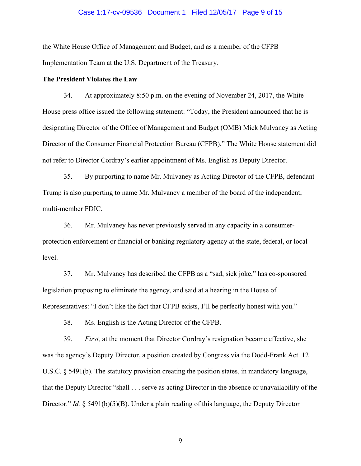## Case 1:17-cv-09536 Document 1 Filed 12/05/17 Page 9 of 15

the White House Office of Management and Budget, and as a member of the CFPB Implementation Team at the U.S. Department of the Treasury.

### **The President Violates the Law**

34. At approximately 8:50 p.m. on the evening of November 24, 2017, the White House press office issued the following statement: "Today, the President announced that he is designating Director of the Office of Management and Budget (OMB) Mick Mulvaney as Acting Director of the Consumer Financial Protection Bureau (CFPB)." The White House statement did not refer to Director Cordray's earlier appointment of Ms. English as Deputy Director.

35. By purporting to name Mr. Mulvaney as Acting Director of the CFPB, defendant Trump is also purporting to name Mr. Mulvaney a member of the board of the independent, multi-member FDIC.

36. Mr. Mulvaney has never previously served in any capacity in a consumerprotection enforcement or financial or banking regulatory agency at the state, federal, or local level.

37. Mr. Mulvaney has described the CFPB as a "sad, sick joke," has co-sponsored legislation proposing to eliminate the agency, and said at a hearing in the House of Representatives: "I don't like the fact that CFPB exists, I'll be perfectly honest with you."

38. Ms. English is the Acting Director of the CFPB.

39. *First,* at the moment that Director Cordray's resignation became effective, she was the agency's Deputy Director, a position created by Congress via the Dodd-Frank Act. 12 U.S.C. § 5491(b). The statutory provision creating the position states, in mandatory language, that the Deputy Director "shall . . . serve as acting Director in the absence or unavailability of the Director." *Id.* § 5491(b)(5)(B). Under a plain reading of this language, the Deputy Director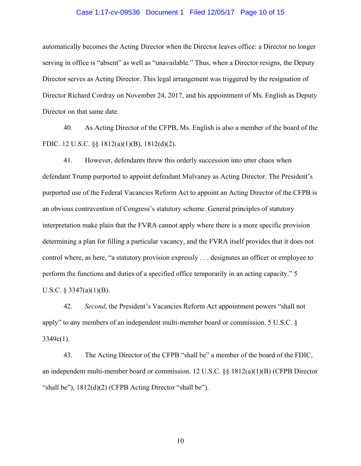## Case 1:17-cv-09536 Document 1 Filed 12/05/17 Page 10 of 15

automatically becomes the Acting Director when the Director leaves office: a Director no longer serving in office is "absent" as well as "unavailable." Thus, when a Director resigns, the Deputy Director serves as Acting Director. This legal arrangement was triggered by the resignation of Director Richard Cordray on November 24, 2017, and his appointment of Ms. English as Deputy Director on that same date.

40. As Acting Director of the CFPB, Ms. English is also a member of the board of the FDIC. 12 U.S.C. §§ 1812(a)(1)(B), 1812(d)(2).

41. However, defendants threw this orderly succession into utter chaos when defendant Trump purported to appoint defendant Mulvaney as Acting Director. The President's purported use of the Federal Vacancies Reform Act to appoint an Acting Director of the CFPB is an obvious contravention of Congress's statutory scheme. General principles of statutory interpretation make plain that the FVRA cannot apply where there is a more specific provision determining a plan for filling a particular vacancy, and the FVRA itself provides that it does not control where, as here, "a statutory provision expressly . . . designates an officer or employee to perform the functions and duties of a specified office temporarily in an acting capacity." 5 U.S.C. § 3347(a)(1)(B).

42. *Second*, the President's Vacancies Reform Act appointment powers "shall not apply" to any members of an independent multi-member board or commission. 5 U.S.C. §  $3349c(1)$ .

43. The Acting Director of the CFPB "shall be" a member of the board of the FDIC, an independent multi-member board or commission. 12 U.S.C. §§ 1812(a)(1)(B) (CFPB Director "shall be"),  $1812(d)(2)$  (CFPB Acting Director "shall be").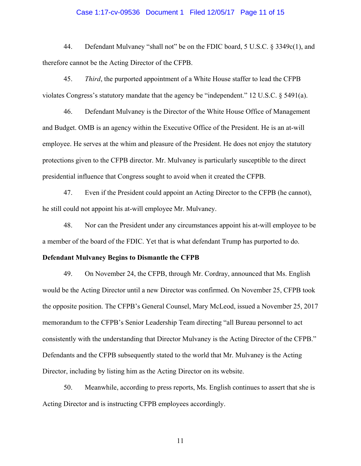## Case 1:17-cv-09536 Document 1 Filed 12/05/17 Page 11 of 15

44. Defendant Mulvaney "shall not" be on the FDIC board, 5 U.S.C. § 3349c(1), and therefore cannot be the Acting Director of the CFPB.

45. *Third*, the purported appointment of a White House staffer to lead the CFPB violates Congress's statutory mandate that the agency be "independent." 12 U.S.C. § 5491(a).

46. Defendant Mulvaney is the Director of the White House Office of Management and Budget. OMB is an agency within the Executive Office of the President. He is an at-will employee. He serves at the whim and pleasure of the President. He does not enjoy the statutory protections given to the CFPB director. Mr. Mulvaney is particularly susceptible to the direct presidential influence that Congress sought to avoid when it created the CFPB.

47. Even if the President could appoint an Acting Director to the CFPB (he cannot), he still could not appoint his at-will employee Mr. Mulvaney.

48. Nor can the President under any circumstances appoint his at-will employee to be a member of the board of the FDIC. Yet that is what defendant Trump has purported to do.

## **Defendant Mulvaney Begins to Dismantle the CFPB**

49. On November 24, the CFPB, through Mr. Cordray, announced that Ms. English would be the Acting Director until a new Director was confirmed. On November 25, CFPB took the opposite position. The CFPB's General Counsel, Mary McLeod, issued a November 25, 2017 memorandum to the CFPB's Senior Leadership Team directing "all Bureau personnel to act consistently with the understanding that Director Mulvaney is the Acting Director of the CFPB." Defendants and the CFPB subsequently stated to the world that Mr. Mulvaney is the Acting Director, including by listing him as the Acting Director on its website.

50. Meanwhile, according to press reports, Ms. English continues to assert that she is Acting Director and is instructing CFPB employees accordingly.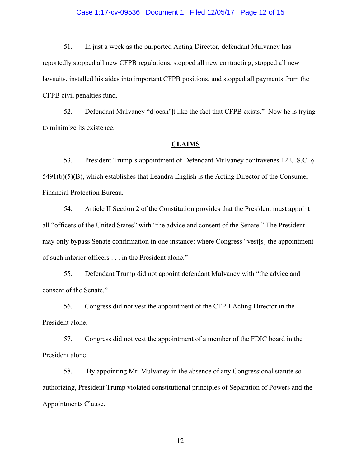## Case 1:17-cv-09536 Document 1 Filed 12/05/17 Page 12 of 15

51. In just a week as the purported Acting Director, defendant Mulvaney has reportedly stopped all new CFPB regulations, stopped all new contracting, stopped all new lawsuits, installed his aides into important CFPB positions, and stopped all payments from the CFPB civil penalties fund.

52. Defendant Mulvaney "d[oesn']t like the fact that CFPB exists." Now he is trying to minimize its existence.

## **CLAIMS**

53. President Trump's appointment of Defendant Mulvaney contravenes 12 U.S.C. § 5491(b)(5)(B), which establishes that Leandra English is the Acting Director of the Consumer Financial Protection Bureau.

54. Article II Section 2 of the Constitution provides that the President must appoint all "officers of the United States" with "the advice and consent of the Senate." The President may only bypass Senate confirmation in one instance: where Congress "vest[s] the appointment of such inferior officers . . . in the President alone."

55. Defendant Trump did not appoint defendant Mulvaney with "the advice and consent of the Senate."

56. Congress did not vest the appointment of the CFPB Acting Director in the President alone.

57. Congress did not vest the appointment of a member of the FDIC board in the President alone.

58. By appointing Mr. Mulvaney in the absence of any Congressional statute so authorizing, President Trump violated constitutional principles of Separation of Powers and the Appointments Clause.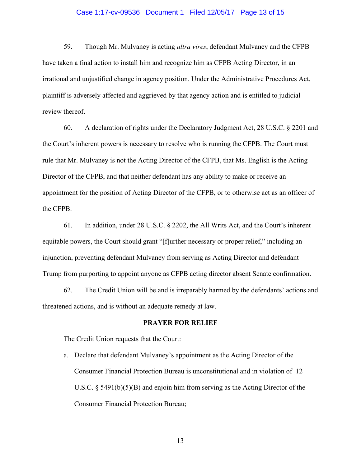### Case 1:17-cv-09536 Document 1 Filed 12/05/17 Page 13 of 15

59. Though Mr. Mulvaney is acting *ultra vires*, defendant Mulvaney and the CFPB have taken a final action to install him and recognize him as CFPB Acting Director, in an irrational and unjustified change in agency position. Under the Administrative Procedures Act, plaintiff is adversely affected and aggrieved by that agency action and is entitled to judicial review thereof.

60. A declaration of rights under the Declaratory Judgment Act, 28 U.S.C. § 2201 and the Court's inherent powers is necessary to resolve who is running the CFPB. The Court must rule that Mr. Mulvaney is not the Acting Director of the CFPB, that Ms. English is the Acting Director of the CFPB, and that neither defendant has any ability to make or receive an appointment for the position of Acting Director of the CFPB, or to otherwise act as an officer of the CFPB.

61. In addition, under 28 U.S.C. § 2202, the All Writs Act, and the Court's inherent equitable powers, the Court should grant "[f]urther necessary or proper relief," including an injunction, preventing defendant Mulvaney from serving as Acting Director and defendant Trump from purporting to appoint anyone as CFPB acting director absent Senate confirmation.

62. The Credit Union will be and is irreparably harmed by the defendants' actions and threatened actions, and is without an adequate remedy at law.

### **PRAYER FOR RELIEF**

The Credit Union requests that the Court:

a. Declare that defendant Mulvaney's appointment as the Acting Director of the Consumer Financial Protection Bureau is unconstitutional and in violation of 12 U.S.C. § 5491(b)(5)(B) and enjoin him from serving as the Acting Director of the Consumer Financial Protection Bureau;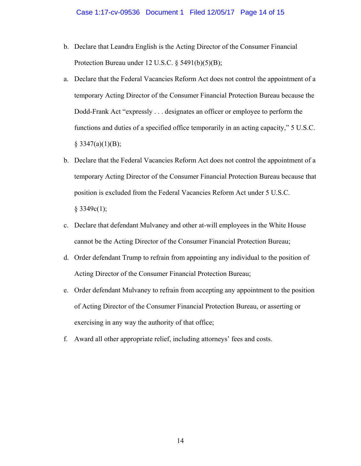- b. Declare that Leandra English is the Acting Director of the Consumer Financial Protection Bureau under 12 U.S.C. § 5491(b)(5)(B);
- a. Declare that the Federal Vacancies Reform Act does not control the appointment of a temporary Acting Director of the Consumer Financial Protection Bureau because the Dodd-Frank Act "expressly . . . designates an officer or employee to perform the functions and duties of a specified office temporarily in an acting capacity," 5 U.S.C.  $§$  3347(a)(1)(B);
- b. Declare that the Federal Vacancies Reform Act does not control the appointment of a temporary Acting Director of the Consumer Financial Protection Bureau because that position is excluded from the Federal Vacancies Reform Act under 5 U.S.C.  $§$  3349c(1);
- c. Declare that defendant Mulvaney and other at-will employees in the White House cannot be the Acting Director of the Consumer Financial Protection Bureau;
- d. Order defendant Trump to refrain from appointing any individual to the position of Acting Director of the Consumer Financial Protection Bureau;
- e. Order defendant Mulvaney to refrain from accepting any appointment to the position of Acting Director of the Consumer Financial Protection Bureau, or asserting or exercising in any way the authority of that office;
- f. Award all other appropriate relief, including attorneys' fees and costs.